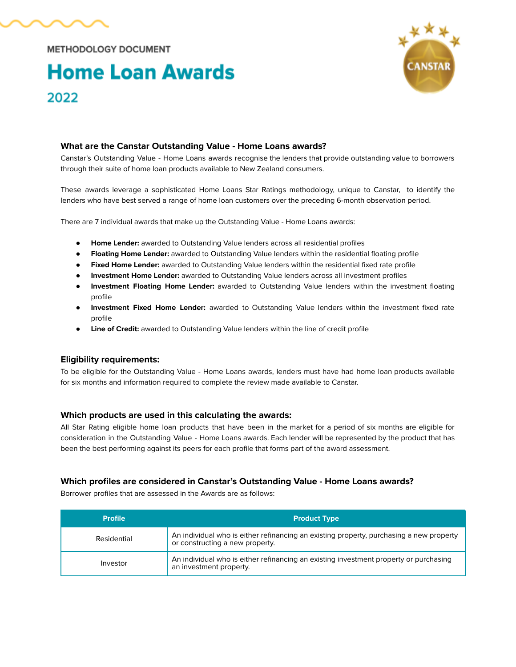

**METHODOLOGY DOCUMENT** 

# **Home Loan Awards** 2022



## **What are the Canstar Outstanding Value - Home Loans awards?**

Canstar's Outstanding Value - Home Loans awards recognise the lenders that provide outstanding value to borrowers through their suite of home loan products available to New Zealand consumers.

These awards leverage a sophisticated Home Loans Star Ratings methodology, unique to Canstar, to identify the lenders who have best served a range of home loan customers over the preceding 6-month observation period.

There are 7 individual awards that make up the Outstanding Value - Home Loans awards:

- **Home Lender:** awarded to Outstanding Value lenders across all residential profiles
- **Floating Home Lender:** awarded to Outstanding Value lenders within the residential floating profile
- **Fixed Home Lender:** awarded to Outstanding Value lenders within the residential fixed rate profile
- **Investment Home Lender:** awarded to Outstanding Value lenders across all investment profiles
- **Investment Floating Home Lender:** awarded to Outstanding Value lenders within the investment floating profile
- **Investment Fixed Home Lender:** awarded to Outstanding Value lenders within the investment fixed rate profile
- **Line of Credit:** awarded to Outstanding Value lenders within the line of credit profile

#### **Eligibility requirements:**

To be eligible for the Outstanding Value - Home Loans awards, lenders must have had home loan products available for six months and information required to complete the review made available to Canstar.

#### **Which products are used in this calculating the awards:**

All Star Rating eligible home loan products that have been in the market for a period of six months are eligible for consideration in the Outstanding Value - Home Loans awards. Each lender will be represented by the product that has been the best performing against its peers for each profile that forms part of the award assessment.

## **Which profiles are considered in Canstar's Outstanding Value - Home Loans awards?**

Borrower profiles that are assessed in the Awards are as follows:

| <b>Profile</b> | <b>Product Type</b>                                                                                                        |  |
|----------------|----------------------------------------------------------------------------------------------------------------------------|--|
| Residential    | An individual who is either refinancing an existing property, purchasing a new property<br>or constructing a new property. |  |
| Investor       | An individual who is either refinancing an existing investment property or purchasing<br>an investment property.           |  |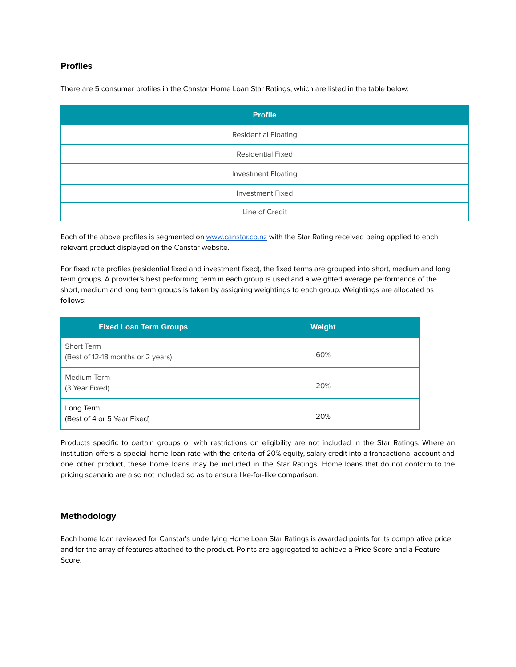### **Profiles**

There are 5 consumer profiles in the Canstar Home Loan Star Ratings, which are listed in the table below:

| <b>Profile</b>              |
|-----------------------------|
| <b>Residential Floating</b> |
| <b>Residential Fixed</b>    |
| <b>Investment Floating</b>  |
| <b>Investment Fixed</b>     |
| Line of Credit              |

Each of the above profiles is segmented on [www.canstar.co.nz](http://www.canstar.co.nz) with the Star Rating received being applied to each relevant product displayed on the Canstar website.

For fixed rate profiles (residential fixed and investment fixed), the fixed terms are grouped into short, medium and long term groups. A provider's best performing term in each group is used and a weighted average performance of the short, medium and long term groups is taken by assigning weightings to each group. Weightings are allocated as follows:

| <b>Fixed Loan Term Groups</b>                   | <b>Weight</b> |
|-------------------------------------------------|---------------|
| Short Term<br>(Best of 12-18 months or 2 years) | 60%           |
| Medium Term<br>(3 Year Fixed)                   | 20%           |
| Long Term<br>(Best of 4 or 5 Year Fixed)        | 20%           |

Products specific to certain groups or with restrictions on eligibility are not included in the Star Ratings. Where an institution offers a special home loan rate with the criteria of 20% equity, salary credit into a transactional account and one other product, these home loans may be included in the Star Ratings. Home loans that do not conform to the pricing scenario are also not included so as to ensure like-for-like comparison.

## **Methodology**

Each home loan reviewed for Canstar's underlying Home Loan Star Ratings is awarded points for its comparative price and for the array of features attached to the product. Points are aggregated to achieve a Price Score and a Feature Score.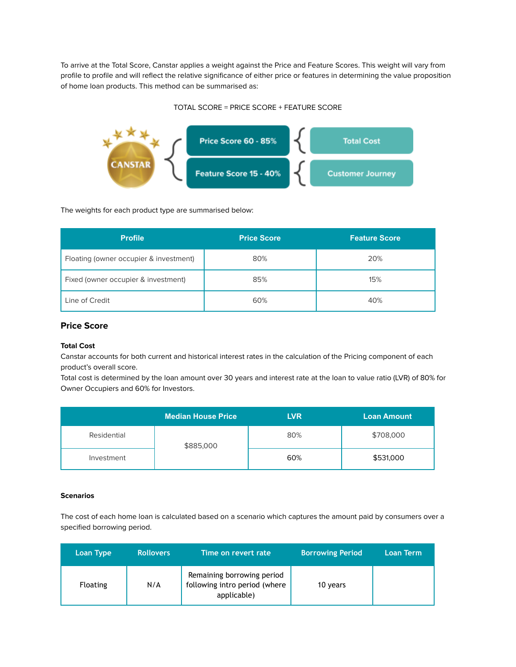To arrive at the Total Score, Canstar applies a weight against the Price and Feature Scores. This weight will vary from profile to profile and will reflect the relative significance of either price or features in determining the value proposition of home loan products. This method can be summarised as:

#### TOTAL SCORE = PRICE SCORE + FEATURE SCORE



The weights for each product type are summarised below:

| <b>Profile</b>                         | <b>Price Score</b> | <b>Feature Score</b> |
|----------------------------------------|--------------------|----------------------|
| Floating (owner occupier & investment) | 80%                | 20%                  |
| Fixed (owner occupier & investment)    | 85%                | 15%                  |
| Line of Credit                         | 60%                | 40%                  |

## **Price Score**

#### **Total Cost**

Canstar accounts for both current and historical interest rates in the calculation of the Pricing component of each product's overall score.

Total cost is determined by the loan amount over 30 years and interest rate at the loan to value ratio (LVR) of 80% for Owner Occupiers and 60% for Investors.

|             | Median House Price | <b>LVR</b> | <b>Loan Amount</b> |
|-------------|--------------------|------------|--------------------|
| Residential | \$885,000          | 80%        | \$708,000          |
| Investment  |                    | 60%        | \$531,000          |

#### **Scenarios**

The cost of each home loan is calculated based on a scenario which captures the amount paid by consumers over a specified borrowing period.

| Loan Type       | <b>Rollovers</b> | Time on revert rate                                                        | <b>Borrowing Period</b> | Loan Term |
|-----------------|------------------|----------------------------------------------------------------------------|-------------------------|-----------|
| <b>Floating</b> | N/A              | Remaining borrowing period<br>following intro period (where<br>applicable) | 10 years                |           |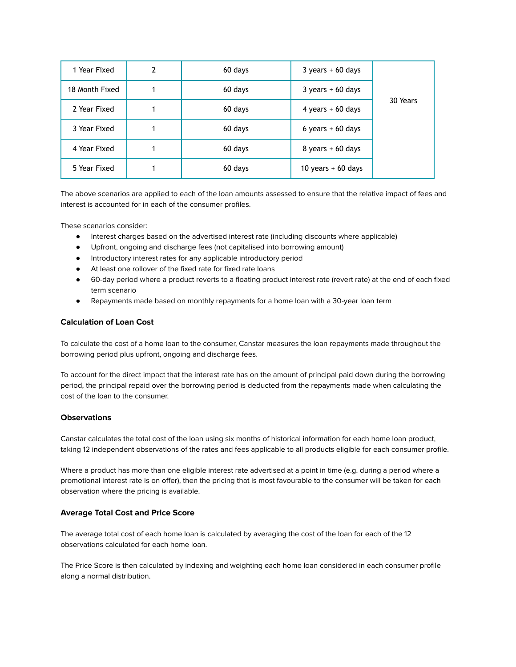| 1 Year Fixed   | 2 | 60 days | $3 \text{ years} + 60 \text{ days}$ |          |
|----------------|---|---------|-------------------------------------|----------|
| 18 Month Fixed |   | 60 days | $3 \text{ years} + 60 \text{ days}$ |          |
| 2 Year Fixed   |   | 60 days | 4 years $+60$ days                  | 30 Years |
| 3 Year Fixed   |   | 60 days | 6 years $+60$ days                  |          |
| 4 Year Fixed   |   | 60 days | $8 \text{ years} + 60 \text{ days}$ |          |
| 5 Year Fixed   |   | 60 days | 10 years $+60$ days                 |          |

The above scenarios are applied to each of the loan amounts assessed to ensure that the relative impact of fees and interest is accounted for in each of the consumer profiles.

These scenarios consider:

- Interest charges based on the advertised interest rate (including discounts where applicable)
- Upfront, ongoing and discharge fees (not capitalised into borrowing amount)
- Introductory interest rates for any applicable introductory period
- At least one rollover of the fixed rate for fixed rate loans
- 60-day period where a product reverts to a floating product interest rate (revert rate) at the end of each fixed term scenario
- Repayments made based on monthly repayments for a home loan with a 30-year loan term

#### **Calculation of Loan Cost**

To calculate the cost of a home loan to the consumer, Canstar measures the loan repayments made throughout the borrowing period plus upfront, ongoing and discharge fees.

To account for the direct impact that the interest rate has on the amount of principal paid down during the borrowing period, the principal repaid over the borrowing period is deducted from the repayments made when calculating the cost of the loan to the consumer.

#### **Observations**

Canstar calculates the total cost of the loan using six months of historical information for each home loan product, taking 12 independent observations of the rates and fees applicable to all products eligible for each consumer profile.

Where a product has more than one eligible interest rate advertised at a point in time (e.g. during a period where a promotional interest rate is on offer), then the pricing that is most favourable to the consumer will be taken for each observation where the pricing is available.

#### **Average Total Cost and Price Score**

The average total cost of each home loan is calculated by averaging the cost of the loan for each of the 12 observations calculated for each home loan.

The Price Score is then calculated by indexing and weighting each home loan considered in each consumer profile along a normal distribution.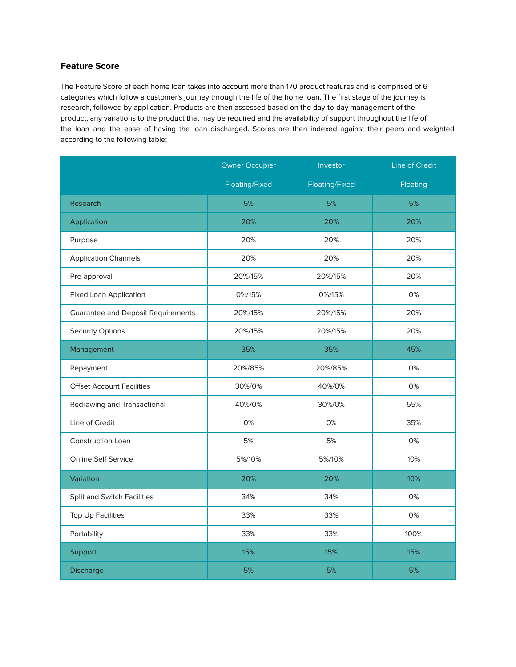## **Feature Score**

The Feature Score of each home loan takes into account more than 170 product features and is comprised of 6 categories which follow a customer's journey through the life of the home loan. The first stage of the journey is research, followed by application. Products are then assessed based on the day-to-day management of the product, any variations to the product that may be required and the availability of support throughout the life of the loan and the ease of having the loan discharged. Scores are then indexed against their peers and weighted according to the following table:

|                                           | <b>Owner Occupier</b> | Investor       | Line of Credit |
|-------------------------------------------|-----------------------|----------------|----------------|
|                                           | Floating/Fixed        | Floating/Fixed | Floating       |
| Research                                  | 5%                    | 5%             | 5%             |
| Application                               | 20%                   | 20%            | 20%            |
| Purpose                                   | 20%                   | 20%            | 20%            |
| <b>Application Channels</b>               | 20%                   | 20%            | 20%            |
| Pre-approval                              | 20%/15%               | 20%/15%        | 20%            |
| <b>Fixed Loan Application</b>             | 0%/15%                | 0%/15%         | 0%             |
| <b>Guarantee and Deposit Requirements</b> | 20%/15%               | 20%/15%        | 20%            |
| <b>Security Options</b>                   | 20%/15%               | 20%/15%        | 20%            |
| Management                                | 35%                   | 35%            | 45%            |
| Repayment                                 | 20%/85%               | 20%/85%        | 0%             |
| <b>Offset Account Facilities</b>          | 30%/0%                | 40%/0%         | 0%             |
| Redrawing and Transactional               | 40%/0%                | 30%/0%         | 55%            |
| Line of Credit                            | 0%                    | 0%             | 35%            |
| <b>Construction Loan</b>                  | 5%                    | 5%             | 0%             |
| <b>Online Self Service</b>                | 5%/10%                | 5%/10%         | 10%            |
| Variation                                 | 20%                   | 20%            | 10%            |
| Split and Switch Facilities               | 34%                   | 34%            | 0%             |
| <b>Top Up Facilities</b>                  | 33%                   | 33%            | 0%             |
| Portability                               | 33%                   | 33%            | 100%           |
| Support                                   | 15%                   | 15%            | 15%            |
| <b>Discharge</b>                          | 5%                    | 5%             | 5%             |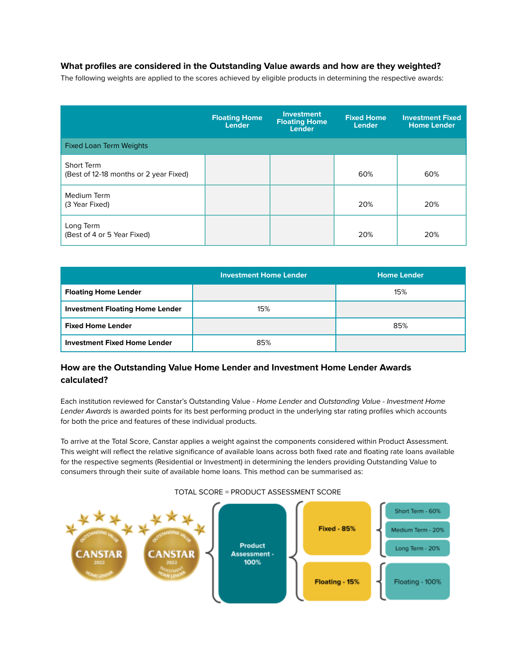## **What profiles are considered in the Outstanding Value awards and how are they weighted?**

The following weights are applied to the scores achieved by eligible products in determining the respective awards:

|                                                      | <b>Floating Home</b><br><b>Lender</b> | <b>Investment</b><br><b>Floating Home</b><br><b>Lender</b> | <b>Fixed Home</b><br><b>Lender</b> | <b>Investment Fixed</b><br><b>Home Lender</b> |
|------------------------------------------------------|---------------------------------------|------------------------------------------------------------|------------------------------------|-----------------------------------------------|
| <b>Fixed Loan Term Weights</b>                       |                                       |                                                            |                                    |                                               |
| Short Term<br>(Best of 12-18 months or 2 year Fixed) |                                       |                                                            | 60%                                | 60%                                           |
| Medium Term<br>(3 Year Fixed)                        |                                       |                                                            | 20%                                | 20%                                           |
| Long Term<br>(Best of 4 or 5 Year Fixed)             |                                       |                                                            | 20%                                | 20%                                           |

|                                        | <b>Investment Home Lender</b> | <b>Home Lender</b> |
|----------------------------------------|-------------------------------|--------------------|
| <b>Floating Home Lender</b>            |                               | 15%                |
| <b>Investment Floating Home Lender</b> | 15%                           |                    |
| <b>Fixed Home Lender</b>               |                               | 85%                |
| <b>Investment Fixed Home Lender</b>    | 85%                           |                    |

## **How are the Outstanding Value Home Lender and Investment Home Lender Awards calculated?**

Each institution reviewed for Canstar's Outstanding Value - Home Lender and Outstanding Value - Investment Home Lender Awards is awarded points for its best performing product in the underlying star rating profiles which accounts for both the price and features of these individual products.

To arrive at the Total Score, Canstar applies a weight against the components considered within Product Assessment. This weight will reflect the relative significance of available loans across both fixed rate and floating rate loans available for the respective segments (Residential or Investment) in determining the lenders providing Outstanding Value to consumers through their suite of available home loans. This method can be summarised as:



#### TOTAL SCORE = PRODUCT ASSESSMENT SCORE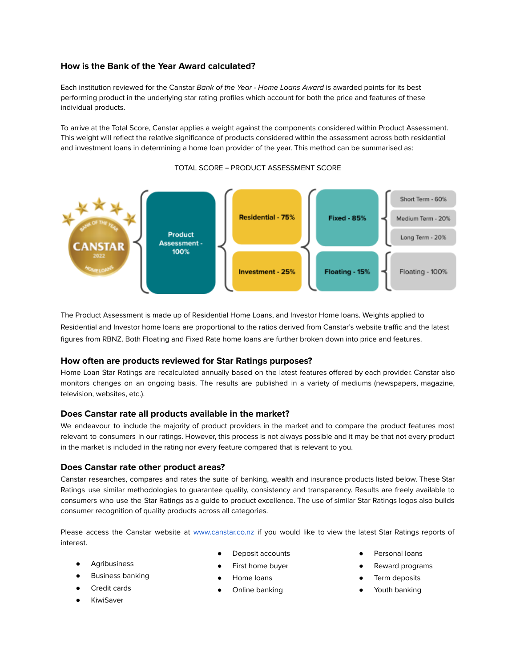## **How is the Bank of the Year Award calculated?**

Each institution reviewed for the Canstar Bank of the Year - Home Loans Award is awarded points for its best performing product in the underlying star rating profiles which account for both the price and features of these individual products.

To arrive at the Total Score, Canstar applies a weight against the components considered within Product Assessment. This weight will reflect the relative significance of products considered within the assessment across both residential and investment loans in determining a home loan provider of the year. This method can be summarised as:



#### TOTAL SCORE = PRODUCT ASSESSMENT SCORE

The Product Assessment is made up of Residential Home Loans, and Investor Home loans. Weights applied to Residential and Investor home loans are proportional to the ratios derived from Canstar's website traffic and the latest figures from RBNZ. Both Floating and Fixed Rate home loans are further broken down into price and features.

#### **How often are products reviewed for Star Ratings purposes?**

Home Loan Star Ratings are recalculated annually based on the latest features offered by each provider. Canstar also monitors changes on an ongoing basis. The results are published in a variety of mediums (newspapers, magazine, television, websites, etc.).

#### **Does Canstar rate all products available in the market?**

We endeavour to include the majority of product providers in the market and to compare the product features most relevant to consumers in our ratings. However, this process is not always possible and it may be that not every product in the market is included in the rating nor every feature compared that is relevant to you.

#### **Does Canstar rate other product areas?**

Canstar researches, compares and rates the suite of banking, wealth and insurance products listed below. These Star Ratings use similar methodologies to guarantee quality, consistency and transparency. Results are freely available to consumers who use the Star Ratings as a guide to product excellence. The use of similar Star Ratings logos also builds consumer recognition of quality products across all categories.

Please access the Canstar website at [www.canstar.co.nz](http://www.canstar.co.nz) if you would like to view the latest Star Ratings reports of interest.

- Agribusiness
- **Business banking**
- Credit cards
- **KiwiSaver**
- Deposit accounts
- First home buyer
- Home loans
- Online banking
- Personal loans
- Reward programs
- Term deposits
- Youth banking